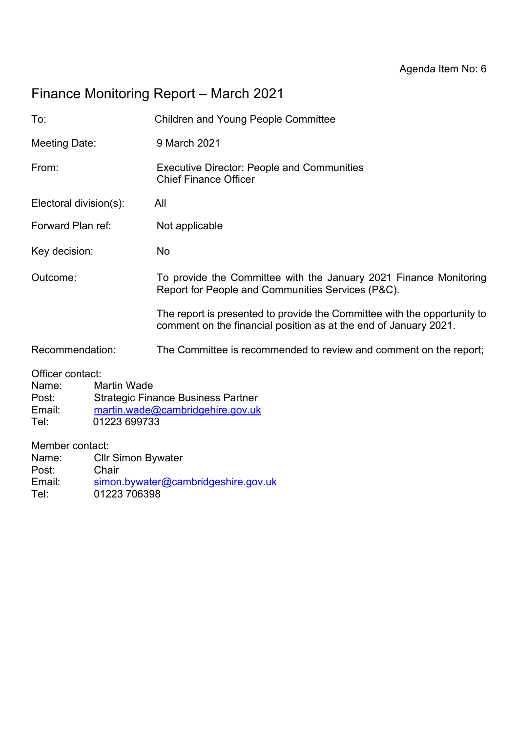# Finance Monitoring Report – March 2021

| To:                                                                                                                                                                         |                                                    | <b>Children and Young People Committee</b>                                                                                                   |  |  |  |
|-----------------------------------------------------------------------------------------------------------------------------------------------------------------------------|----------------------------------------------------|----------------------------------------------------------------------------------------------------------------------------------------------|--|--|--|
| Meeting Date:                                                                                                                                                               |                                                    | 9 March 2021                                                                                                                                 |  |  |  |
| From:                                                                                                                                                                       |                                                    | <b>Executive Director: People and Communities</b><br><b>Chief Finance Officer</b>                                                            |  |  |  |
| Electoral division(s):                                                                                                                                                      |                                                    | All                                                                                                                                          |  |  |  |
| Forward Plan ref:                                                                                                                                                           |                                                    | Not applicable                                                                                                                               |  |  |  |
| Key decision:                                                                                                                                                               |                                                    | No                                                                                                                                           |  |  |  |
| Outcome:                                                                                                                                                                    |                                                    | To provide the Committee with the January 2021 Finance Monitoring<br>Report for People and Communities Services (P&C).                       |  |  |  |
|                                                                                                                                                                             |                                                    | The report is presented to provide the Committee with the opportunity to<br>comment on the financial position as at the end of January 2021. |  |  |  |
| Recommendation:                                                                                                                                                             |                                                    | The Committee is recommended to review and comment on the report;                                                                            |  |  |  |
| Officer contact:<br><b>Martin Wade</b><br>Name:<br><b>Strategic Finance Business Partner</b><br>Post:<br>Email:<br>martin.wade@cambridgehire.gov.uk<br>01223 699733<br>Tel: |                                                    |                                                                                                                                              |  |  |  |
| Member contact:<br>Name:<br>Post:<br>Email:<br>Tel:                                                                                                                         | <b>Cllr Simon Bywater</b><br>Chair<br>01223 706398 | simon.bywater@cambridgeshire.gov.uk                                                                                                          |  |  |  |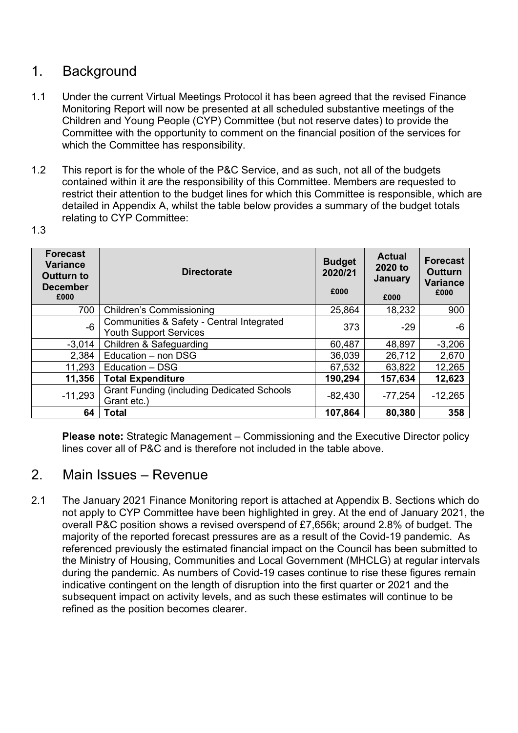## 1. Background

- 1.1 Under the current Virtual Meetings Protocol it has been agreed that the revised Finance Monitoring Report will now be presented at all scheduled substantive meetings of the Children and Young People (CYP) Committee (but not reserve dates) to provide the Committee with the opportunity to comment on the financial position of the services for which the Committee has responsibility.
- 1.2 This report is for the whole of the P&C Service, and as such, not all of the budgets contained within it are the responsibility of this Committee. Members are requested to restrict their attention to the budget lines for which this Committee is responsible, which are detailed in Appendix A, whilst the table below provides a summary of the budget totals relating to CYP Committee:

| .,<br>I<br>۰.<br>×<br>۰. |
|--------------------------|
|--------------------------|

| <b>Forecast</b><br><b>Variance</b><br><b>Outturn to</b><br><b>December</b><br>£000 | <b>Directorate</b>                                                         | <b>Budget</b><br>2020/21<br>£000 | <b>Actual</b><br>2020 to<br><b>January</b><br>£000 | <b>Forecast</b><br><b>Outturn</b><br><b>Variance</b><br>£000 |
|------------------------------------------------------------------------------------|----------------------------------------------------------------------------|----------------------------------|----------------------------------------------------|--------------------------------------------------------------|
| 700                                                                                | <b>Children's Commissioning</b>                                            | 25,864                           | 18,232                                             | 900                                                          |
| $-6$                                                                               | Communities & Safety - Central Integrated<br><b>Youth Support Services</b> | 373                              | $-29$                                              | -6                                                           |
| $-3,014$                                                                           | Children & Safeguarding                                                    | 60,487                           | 48,897                                             | $-3,206$                                                     |
| 2,384                                                                              | Education - non DSG                                                        | 36,039                           | 26,712                                             | 2,670                                                        |
| 11,293                                                                             | Education - DSG                                                            | 67,532                           | 63,822                                             | 12,265                                                       |
| 11,356                                                                             | <b>Total Expenditure</b>                                                   | 190,294                          | 157,634                                            | 12,623                                                       |
| $-11,293$                                                                          | <b>Grant Funding (including Dedicated Schools</b><br>Grant etc.)           | $-82,430$                        | $-77,254$                                          | $-12,265$                                                    |
| 64                                                                                 | Total                                                                      | 107,864                          | 80,380                                             | 358                                                          |

**Please note:** Strategic Management – Commissioning and the Executive Director policy lines cover all of P&C and is therefore not included in the table above.

### 2. Main Issues – Revenue

2.1 The January 2021 Finance Monitoring report is attached at Appendix B. Sections which do not apply to CYP Committee have been highlighted in grey. At the end of January 2021, the overall P&C position shows a revised overspend of £7,656k; around 2.8% of budget. The majority of the reported forecast pressures are as a result of the Covid-19 pandemic. As referenced previously the estimated financial impact on the Council has been submitted to the Ministry of Housing, Communities and Local Government (MHCLG) at regular intervals during the pandemic. As numbers of Covid-19 cases continue to rise these figures remain indicative contingent on the length of disruption into the first quarter or 2021 and the subsequent impact on activity levels, and as such these estimates will continue to be refined as the position becomes clearer.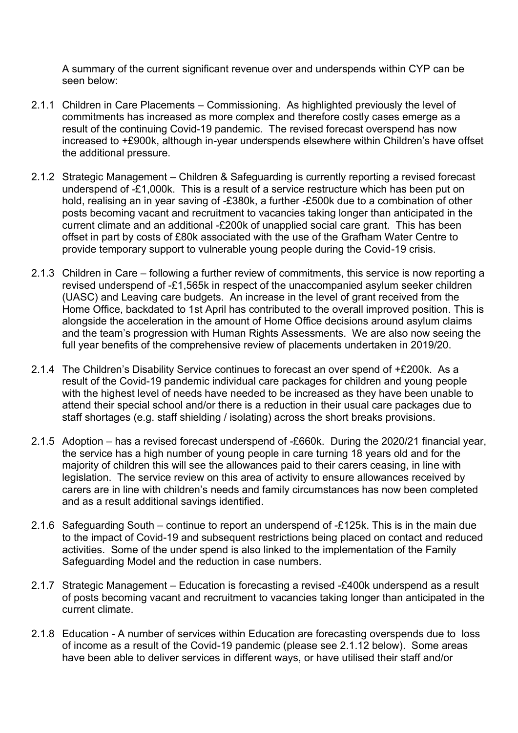A summary of the current significant revenue over and underspends within CYP can be seen below:

- 2.1.1Children in Care Placements Commissioning. As highlighted previously the level of commitments has increased as more complex and therefore costly cases emerge as a result of the continuing Covid-19 pandemic. The revised forecast overspend has now increased to +£900k, although in-year underspends elsewhere within Children's have offset the additional pressure.
- 2.1.2 Strategic Management Children & Safeguarding is currently reporting a revised forecast underspend of -£1,000k. This is a result of a service restructure which has been put on hold, realising an in year saving of -£380k, a further -£500k due to a combination of other posts becoming vacant and recruitment to vacancies taking longer than anticipated in the current climate and an additional -£200k of unapplied social care grant. This has been offset in part by costs of £80k associated with the use of the Grafham Water Centre to provide temporary support to vulnerable young people during the Covid-19 crisis.
- 2.1.3 Children in Care following a further review of commitments, this service is now reporting a revised underspend of -£1,565k in respect of the unaccompanied asylum seeker children (UASC) and Leaving care budgets. An increase in the level of grant received from the Home Office, backdated to 1st April has contributed to the overall improved position. This is alongside the acceleration in the amount of Home Office decisions around asylum claims and the team's progression with Human Rights Assessments. We are also now seeing the full year benefits of the comprehensive review of placements undertaken in 2019/20.
- 2.1.4 The Children's Disability Service continues to forecast an over spend of +£200k. As a result of the Covid-19 pandemic individual care packages for children and young people with the highest level of needs have needed to be increased as they have been unable to attend their special school and/or there is a reduction in their usual care packages due to staff shortages (e.g. staff shielding / isolating) across the short breaks provisions.
- 2.1.5 Adoption has a revised forecast underspend of -£660k. During the 2020/21 financial year, the service has a high number of young people in care turning 18 years old and for the majority of children this will see the allowances paid to their carers ceasing, in line with legislation. The service review on this area of activity to ensure allowances received by carers are in line with children's needs and family circumstances has now been completed and as a result additional savings identified.
- 2.1.6 Safeguarding South continue to report an underspend of -£125k. This is in the main due to the impact of Covid-19 and subsequent restrictions being placed on contact and reduced activities. Some of the under spend is also linked to the implementation of the Family Safeguarding Model and the reduction in case numbers.
- 2.1.7 Strategic Management Education is forecasting a revised -£400k underspend as a result of posts becoming vacant and recruitment to vacancies taking longer than anticipated in the current climate.
- 2.1.8 Education A number of services within Education are forecasting overspends due to loss of income as a result of the Covid-19 pandemic (please see 2.1.12 below). Some areas have been able to deliver services in different ways, or have utilised their staff and/or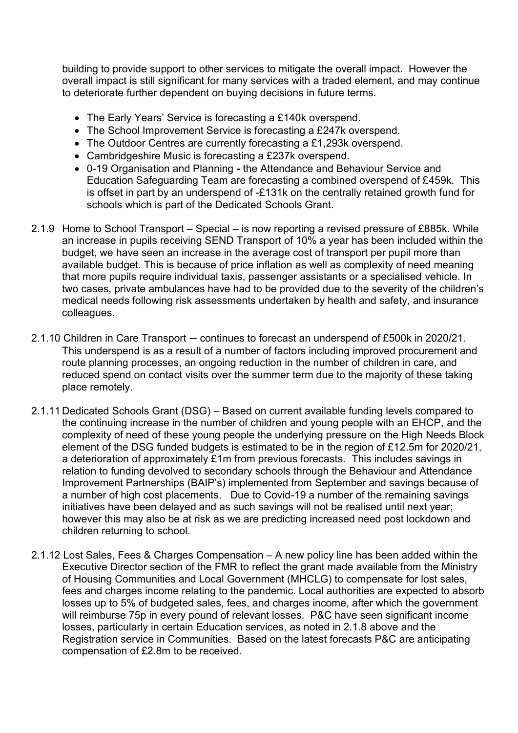building to provide support to other services to mitigate the overall impact. However the overall impact is still significant for many services with a traded element, and may continue to deteriorate further dependent on buying decisions in future terms.

- The Early Years' Service is forecasting a £140k overspend.
- The School Improvement Service is forecasting a £247k overspend.
- The Outdoor Centres are currently forecasting a £1,293k overspend.
- Cambridgeshire Music is forecasting a £237k overspend.
- 0-19 Organisation and Planning *-* the Attendance and Behaviour Service and Education Safeguarding Team are forecasting a combined overspend of £459k. This is offset in part by an underspend of -£131k on the centrally retained growth fund for schools which is part of the Dedicated Schools Grant.
- 2.1.9 Home to School Transport Special is now reporting a revised pressure of £885k. While an increase in pupils receiving SEND Transport of 10% a year has been included within the budget, we have seen an increase in the average cost of transport per pupil more than available budget. This is because of price inflation as well as complexity of need meaning that more pupils require individual taxis, passenger assistants or a specialised vehicle. In two cases, private ambulances have had to be provided due to the severity of the children's medical needs following risk assessments undertaken by health and safety, and insurance colleagues.
- 2.1.10 Children in Care Transport continues to forecast an underspend of £500k in 2020/21. This underspend is as a result of a number of factors including improved procurement and route planning processes, an ongoing reduction in the number of children in care, and reduced spend on contact visits over the summer term due to the majority of these taking place remotely.
- 2.1.11 Dedicated Schools Grant (DSG) Based on current available funding levels compared to the continuing increase in the number of children and young people with an EHCP, and the complexity of need of these young people the underlying pressure on the High Needs Block element of the DSG funded budgets is estimated to be in the region of £12.5m for 2020/21, a deterioration of approximately £1m from previous forecasts. This includes savings in relation to funding devolved to secondary schools through the Behaviour and Attendance Improvement Partnerships (BAIP's) implemented from September and savings because of a number of high cost placements. Due to Covid-19 a number of the remaining savings initiatives have been delayed and as such savings will not be realised until next year; however this may also be at risk as we are predicting increased need post lockdown and children returning to school.
- 2.1.12 Lost Sales, Fees & Charges Compensation A new policy line has been added within the Executive Director section of the FMR to reflect the grant made available from the Ministry of Housing Communities and Local Government (MHCLG) to compensate for lost sales, fees and charges income relating to the pandemic. Local authorities are expected to absorb losses up to 5% of budgeted sales, fees, and charges income, after which the government will reimburse 75p in every pound of relevant losses. P&C have seen significant income losses, particularly in certain Education services, as noted in 2.1.8 above and the Registration service in Communities. Based on the latest forecasts P&C are anticipating compensation of £2.8m to be received.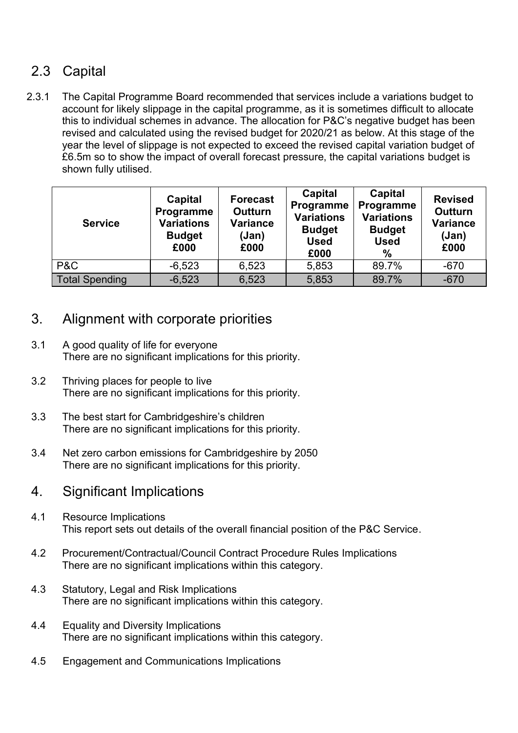# 2.3 Capital

2.3.1 The Capital Programme Board recommended that services include a variations budget to account for likely slippage in the capital programme, as it is sometimes difficult to allocate this to individual schemes in advance. The allocation for P&C's negative budget has been revised and calculated using the revised budget for 2020/21 as below. At this stage of the year the level of slippage is not expected to exceed the revised capital variation budget of £6.5m so to show the impact of overall forecast pressure, the capital variations budget is shown fully utilised.

| <b>Service</b>        | Capital<br>Programme<br><b>Variations</b><br><b>Budget</b><br>£000 | <b>Forecast</b><br><b>Outturn</b><br><b>Variance</b><br>(Jan)<br>£000 | Capital<br>Programme<br><b>Variations</b><br><b>Budget</b><br><b>Used</b><br>£000 | Capital<br>Programme<br><b>Variations</b><br><b>Budget</b><br><b>Used</b><br>% | <b>Revised</b><br><b>Outturn</b><br><b>Variance</b><br>(Jan)<br>£000 |
|-----------------------|--------------------------------------------------------------------|-----------------------------------------------------------------------|-----------------------------------------------------------------------------------|--------------------------------------------------------------------------------|----------------------------------------------------------------------|
| P&C                   | $-6,523$                                                           | 6,523                                                                 | 5,853                                                                             | 89.7%                                                                          | $-670$                                                               |
| <b>Total Spending</b> | $-6,523$                                                           | 6,523                                                                 | 5,853                                                                             | 89.7%                                                                          | $-670$                                                               |

## 3. Alignment with corporate priorities

- 3.1 A good quality of life for everyone There are no significant implications for this priority.
- 3.2 Thriving places for people to live There are no significant implications for this priority.
- 3.3 The best start for Cambridgeshire's children There are no significant implications for this priority.
- 3.4 Net zero carbon emissions for Cambridgeshire by 2050 There are no significant implications for this priority.

### 4. Significant Implications

- 4.1 Resource Implications This report sets out details of the overall financial position of the P&C Service.
- 4.2 Procurement/Contractual/Council Contract Procedure Rules Implications There are no significant implications within this category.
- 4.3 Statutory, Legal and Risk Implications There are no significant implications within this category.
- 4.4 Equality and Diversity Implications There are no significant implications within this category.
- 4.5 Engagement and Communications Implications